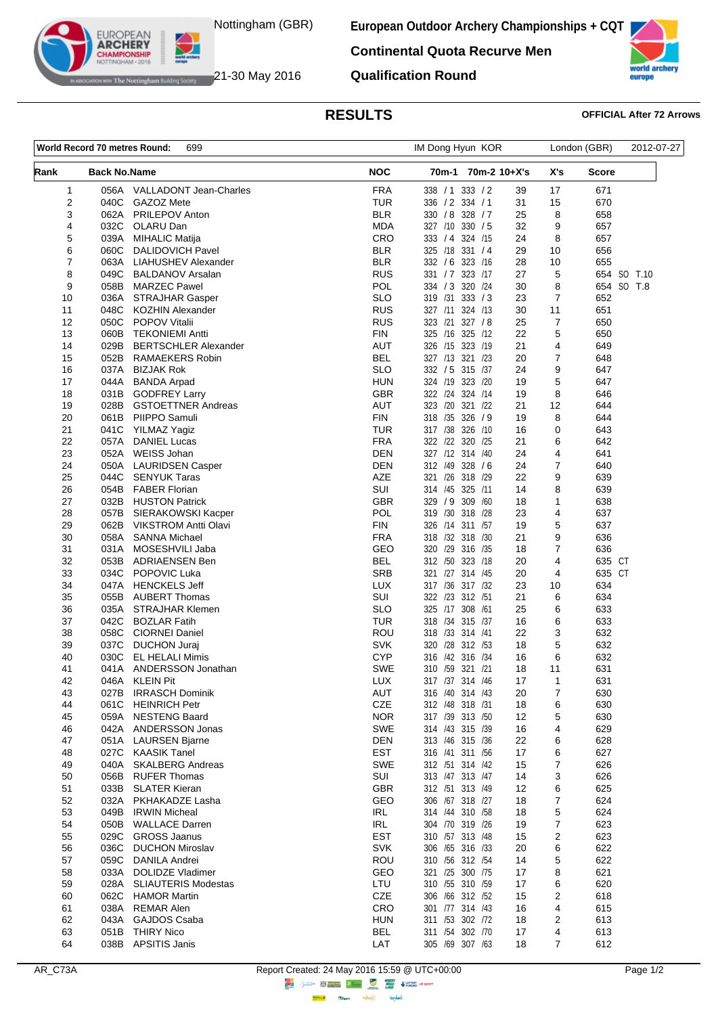

**European Outdoor Archery Championships + CQT**

**Continental Quota Recurve Men**



The Nottingham Building Society 21-30 May 2016

**EUROPEAN ARCHERY** 

**Qualification Round**

## **RESULTS OFFICIAL After 72 Arrows**

| <b>NOC</b><br>Rank<br>70m-2 10+X's<br>X's<br>Score<br><b>Back No.Name</b><br>70m-1<br><b>FRA</b><br>1<br>056A VALLADONT Jean-Charles<br>338 / 1<br>333 / 2<br>39<br>17<br>671<br>2<br><b>TUR</b><br>040C<br>GAZOZ Mete<br>336 / 2 334 / 1<br>31<br>15<br>670<br><b>BLR</b><br>3<br>062A<br>PRILEPOV Anton<br>330 / 8 328 / 7<br>25<br>8<br>658<br>4<br>OLARU Dan<br>9<br>032C<br>MDA<br>327 /10 330 / 5<br>32<br>657<br>5<br>CRO<br>8<br>039A<br><b>MIHALIC Matija</b><br>333 / 4 324 / 15<br>24<br>657<br><b>BLR</b><br>29<br>6<br>060C<br><b>DALIDOVICH Pavel</b><br>325 /18 331 / 4<br>10<br>656<br>7<br>063A<br>BLR<br>332 / 6 323 /16<br>28<br>10<br>655<br>LIAHUSHEV Alexander<br>8<br><b>RUS</b><br>331 / 7 323 /17<br>5<br>049C<br><b>BALDANOV Arsalan</b><br>27<br>9<br><b>POL</b><br>334 / 3 320 / 24<br>058B<br><b>MARZEC Pawel</b><br>30<br>8<br><b>SLO</b><br>319 /31 333 / 3<br>$\overline{7}$<br>10<br>23<br>652<br>036A<br><b>STRAJHAR Gasper</b><br><b>RUS</b><br>11<br>11<br>048C<br><b>KOZHIN Alexander</b><br>327 /11 324 /13<br>30<br>651<br><b>RUS</b><br>7<br>12<br>050C<br>323 /21 327 /8<br>25<br>650<br>POPOV Vitalii<br><b>FIN</b><br>325 /16 325 /12<br>22<br>5<br>13<br>060B<br><b>TEKONIEMI Antti</b><br>650<br>4<br>14<br>029B<br><b>BERTSCHLER Alexander</b><br>AUT<br>326 /15 323 /19<br>21<br>649<br>$\overline{7}$<br><b>BEL</b><br>327 /13 321 /23<br>15<br>052B<br><b>RAMAEKERS Robin</b><br>20<br>648<br><b>SLO</b><br>332 / 5 315 /37<br>9<br>16<br>037A<br><b>BIZJAK Rok</b><br>24<br>647<br>5<br>17<br>044A<br><b>BANDA Arpad</b><br>HUN<br>324 /19 323 /20<br>19<br>647<br>8<br><b>GBR</b><br>322 /24 324 /14<br>18<br>031B GODFREY Larry<br>19<br>646<br><b>AUT</b><br>323 /20 321 /22<br>12<br>19<br>028B<br><b>GSTOETTNER Andreas</b><br>21<br>644<br>8<br>20<br>061B<br><b>FIN</b><br>318 /35 326 / 9<br>19<br>644<br>PIIPPO Samuli<br>21<br><b>TUR</b><br>317 /38 326 /10<br>0<br>643<br>041C<br>YILMAZ Yagiz<br>16<br><b>FRA</b><br>322 /22 320 /25<br>22<br>057A<br><b>DANIEL Lucas</b><br>21<br>6<br>642<br>4<br>23<br>WEISS Johan<br>DEN<br>327 /12 314 /40<br>24<br>641<br>052A<br>$\overline{7}$<br>24<br>050A<br><b>LAURIDSEN Casper</b><br>DEN<br>312 /49<br>328 / 6<br>24<br>640<br><b>AZE</b><br>9<br>25<br>044C<br>321 /26 318 /29<br>22<br>639<br><b>SENYUK Taras</b><br>SUI<br>8<br>26<br>054B<br><b>FABER Florian</b><br>314 /45 325 /11<br>14<br>639<br><b>GBR</b><br>309 /60<br>$\mathbf{1}$<br>27<br>032B<br><b>HUSTON Patrick</b><br>329 / 9<br>18<br>638<br><b>POL</b><br>4<br>28<br>057B<br>319 /30 318 /28<br>23<br>637<br>SIERAKOWSKI Kacper<br><b>FIN</b><br>5<br>637<br>29<br>062B<br><b>VIKSTROM Antti Olavi</b><br>326 /14 311 /57<br>19<br>9<br>30<br>058A<br><b>SANNA Michael</b><br>FRA<br>318 /32 318 /30<br>21<br>636 | London (GBR)<br>2012-07-27 |
|-----------------------------------------------------------------------------------------------------------------------------------------------------------------------------------------------------------------------------------------------------------------------------------------------------------------------------------------------------------------------------------------------------------------------------------------------------------------------------------------------------------------------------------------------------------------------------------------------------------------------------------------------------------------------------------------------------------------------------------------------------------------------------------------------------------------------------------------------------------------------------------------------------------------------------------------------------------------------------------------------------------------------------------------------------------------------------------------------------------------------------------------------------------------------------------------------------------------------------------------------------------------------------------------------------------------------------------------------------------------------------------------------------------------------------------------------------------------------------------------------------------------------------------------------------------------------------------------------------------------------------------------------------------------------------------------------------------------------------------------------------------------------------------------------------------------------------------------------------------------------------------------------------------------------------------------------------------------------------------------------------------------------------------------------------------------------------------------------------------------------------------------------------------------------------------------------------------------------------------------------------------------------------------------------------------------------------------------------------------------------------------------------------------------------------------------------------------------------------------------------------------------------------------------------------------------------------------------------------------------------------------------------------------------------------------------------------------------------------------------------------------------------------------------------------|----------------------------|
|                                                                                                                                                                                                                                                                                                                                                                                                                                                                                                                                                                                                                                                                                                                                                                                                                                                                                                                                                                                                                                                                                                                                                                                                                                                                                                                                                                                                                                                                                                                                                                                                                                                                                                                                                                                                                                                                                                                                                                                                                                                                                                                                                                                                                                                                                                                                                                                                                                                                                                                                                                                                                                                                                                                                                                                                     |                            |
|                                                                                                                                                                                                                                                                                                                                                                                                                                                                                                                                                                                                                                                                                                                                                                                                                                                                                                                                                                                                                                                                                                                                                                                                                                                                                                                                                                                                                                                                                                                                                                                                                                                                                                                                                                                                                                                                                                                                                                                                                                                                                                                                                                                                                                                                                                                                                                                                                                                                                                                                                                                                                                                                                                                                                                                                     |                            |
|                                                                                                                                                                                                                                                                                                                                                                                                                                                                                                                                                                                                                                                                                                                                                                                                                                                                                                                                                                                                                                                                                                                                                                                                                                                                                                                                                                                                                                                                                                                                                                                                                                                                                                                                                                                                                                                                                                                                                                                                                                                                                                                                                                                                                                                                                                                                                                                                                                                                                                                                                                                                                                                                                                                                                                                                     |                            |
|                                                                                                                                                                                                                                                                                                                                                                                                                                                                                                                                                                                                                                                                                                                                                                                                                                                                                                                                                                                                                                                                                                                                                                                                                                                                                                                                                                                                                                                                                                                                                                                                                                                                                                                                                                                                                                                                                                                                                                                                                                                                                                                                                                                                                                                                                                                                                                                                                                                                                                                                                                                                                                                                                                                                                                                                     |                            |
|                                                                                                                                                                                                                                                                                                                                                                                                                                                                                                                                                                                                                                                                                                                                                                                                                                                                                                                                                                                                                                                                                                                                                                                                                                                                                                                                                                                                                                                                                                                                                                                                                                                                                                                                                                                                                                                                                                                                                                                                                                                                                                                                                                                                                                                                                                                                                                                                                                                                                                                                                                                                                                                                                                                                                                                                     |                            |
|                                                                                                                                                                                                                                                                                                                                                                                                                                                                                                                                                                                                                                                                                                                                                                                                                                                                                                                                                                                                                                                                                                                                                                                                                                                                                                                                                                                                                                                                                                                                                                                                                                                                                                                                                                                                                                                                                                                                                                                                                                                                                                                                                                                                                                                                                                                                                                                                                                                                                                                                                                                                                                                                                                                                                                                                     |                            |
|                                                                                                                                                                                                                                                                                                                                                                                                                                                                                                                                                                                                                                                                                                                                                                                                                                                                                                                                                                                                                                                                                                                                                                                                                                                                                                                                                                                                                                                                                                                                                                                                                                                                                                                                                                                                                                                                                                                                                                                                                                                                                                                                                                                                                                                                                                                                                                                                                                                                                                                                                                                                                                                                                                                                                                                                     |                            |
|                                                                                                                                                                                                                                                                                                                                                                                                                                                                                                                                                                                                                                                                                                                                                                                                                                                                                                                                                                                                                                                                                                                                                                                                                                                                                                                                                                                                                                                                                                                                                                                                                                                                                                                                                                                                                                                                                                                                                                                                                                                                                                                                                                                                                                                                                                                                                                                                                                                                                                                                                                                                                                                                                                                                                                                                     | 654 SO T.10                |
|                                                                                                                                                                                                                                                                                                                                                                                                                                                                                                                                                                                                                                                                                                                                                                                                                                                                                                                                                                                                                                                                                                                                                                                                                                                                                                                                                                                                                                                                                                                                                                                                                                                                                                                                                                                                                                                                                                                                                                                                                                                                                                                                                                                                                                                                                                                                                                                                                                                                                                                                                                                                                                                                                                                                                                                                     | 654 SO T.8                 |
|                                                                                                                                                                                                                                                                                                                                                                                                                                                                                                                                                                                                                                                                                                                                                                                                                                                                                                                                                                                                                                                                                                                                                                                                                                                                                                                                                                                                                                                                                                                                                                                                                                                                                                                                                                                                                                                                                                                                                                                                                                                                                                                                                                                                                                                                                                                                                                                                                                                                                                                                                                                                                                                                                                                                                                                                     |                            |
|                                                                                                                                                                                                                                                                                                                                                                                                                                                                                                                                                                                                                                                                                                                                                                                                                                                                                                                                                                                                                                                                                                                                                                                                                                                                                                                                                                                                                                                                                                                                                                                                                                                                                                                                                                                                                                                                                                                                                                                                                                                                                                                                                                                                                                                                                                                                                                                                                                                                                                                                                                                                                                                                                                                                                                                                     |                            |
|                                                                                                                                                                                                                                                                                                                                                                                                                                                                                                                                                                                                                                                                                                                                                                                                                                                                                                                                                                                                                                                                                                                                                                                                                                                                                                                                                                                                                                                                                                                                                                                                                                                                                                                                                                                                                                                                                                                                                                                                                                                                                                                                                                                                                                                                                                                                                                                                                                                                                                                                                                                                                                                                                                                                                                                                     |                            |
|                                                                                                                                                                                                                                                                                                                                                                                                                                                                                                                                                                                                                                                                                                                                                                                                                                                                                                                                                                                                                                                                                                                                                                                                                                                                                                                                                                                                                                                                                                                                                                                                                                                                                                                                                                                                                                                                                                                                                                                                                                                                                                                                                                                                                                                                                                                                                                                                                                                                                                                                                                                                                                                                                                                                                                                                     |                            |
|                                                                                                                                                                                                                                                                                                                                                                                                                                                                                                                                                                                                                                                                                                                                                                                                                                                                                                                                                                                                                                                                                                                                                                                                                                                                                                                                                                                                                                                                                                                                                                                                                                                                                                                                                                                                                                                                                                                                                                                                                                                                                                                                                                                                                                                                                                                                                                                                                                                                                                                                                                                                                                                                                                                                                                                                     |                            |
|                                                                                                                                                                                                                                                                                                                                                                                                                                                                                                                                                                                                                                                                                                                                                                                                                                                                                                                                                                                                                                                                                                                                                                                                                                                                                                                                                                                                                                                                                                                                                                                                                                                                                                                                                                                                                                                                                                                                                                                                                                                                                                                                                                                                                                                                                                                                                                                                                                                                                                                                                                                                                                                                                                                                                                                                     |                            |
|                                                                                                                                                                                                                                                                                                                                                                                                                                                                                                                                                                                                                                                                                                                                                                                                                                                                                                                                                                                                                                                                                                                                                                                                                                                                                                                                                                                                                                                                                                                                                                                                                                                                                                                                                                                                                                                                                                                                                                                                                                                                                                                                                                                                                                                                                                                                                                                                                                                                                                                                                                                                                                                                                                                                                                                                     |                            |
|                                                                                                                                                                                                                                                                                                                                                                                                                                                                                                                                                                                                                                                                                                                                                                                                                                                                                                                                                                                                                                                                                                                                                                                                                                                                                                                                                                                                                                                                                                                                                                                                                                                                                                                                                                                                                                                                                                                                                                                                                                                                                                                                                                                                                                                                                                                                                                                                                                                                                                                                                                                                                                                                                                                                                                                                     |                            |
|                                                                                                                                                                                                                                                                                                                                                                                                                                                                                                                                                                                                                                                                                                                                                                                                                                                                                                                                                                                                                                                                                                                                                                                                                                                                                                                                                                                                                                                                                                                                                                                                                                                                                                                                                                                                                                                                                                                                                                                                                                                                                                                                                                                                                                                                                                                                                                                                                                                                                                                                                                                                                                                                                                                                                                                                     |                            |
|                                                                                                                                                                                                                                                                                                                                                                                                                                                                                                                                                                                                                                                                                                                                                                                                                                                                                                                                                                                                                                                                                                                                                                                                                                                                                                                                                                                                                                                                                                                                                                                                                                                                                                                                                                                                                                                                                                                                                                                                                                                                                                                                                                                                                                                                                                                                                                                                                                                                                                                                                                                                                                                                                                                                                                                                     |                            |
|                                                                                                                                                                                                                                                                                                                                                                                                                                                                                                                                                                                                                                                                                                                                                                                                                                                                                                                                                                                                                                                                                                                                                                                                                                                                                                                                                                                                                                                                                                                                                                                                                                                                                                                                                                                                                                                                                                                                                                                                                                                                                                                                                                                                                                                                                                                                                                                                                                                                                                                                                                                                                                                                                                                                                                                                     |                            |
|                                                                                                                                                                                                                                                                                                                                                                                                                                                                                                                                                                                                                                                                                                                                                                                                                                                                                                                                                                                                                                                                                                                                                                                                                                                                                                                                                                                                                                                                                                                                                                                                                                                                                                                                                                                                                                                                                                                                                                                                                                                                                                                                                                                                                                                                                                                                                                                                                                                                                                                                                                                                                                                                                                                                                                                                     |                            |
|                                                                                                                                                                                                                                                                                                                                                                                                                                                                                                                                                                                                                                                                                                                                                                                                                                                                                                                                                                                                                                                                                                                                                                                                                                                                                                                                                                                                                                                                                                                                                                                                                                                                                                                                                                                                                                                                                                                                                                                                                                                                                                                                                                                                                                                                                                                                                                                                                                                                                                                                                                                                                                                                                                                                                                                                     |                            |
|                                                                                                                                                                                                                                                                                                                                                                                                                                                                                                                                                                                                                                                                                                                                                                                                                                                                                                                                                                                                                                                                                                                                                                                                                                                                                                                                                                                                                                                                                                                                                                                                                                                                                                                                                                                                                                                                                                                                                                                                                                                                                                                                                                                                                                                                                                                                                                                                                                                                                                                                                                                                                                                                                                                                                                                                     |                            |
|                                                                                                                                                                                                                                                                                                                                                                                                                                                                                                                                                                                                                                                                                                                                                                                                                                                                                                                                                                                                                                                                                                                                                                                                                                                                                                                                                                                                                                                                                                                                                                                                                                                                                                                                                                                                                                                                                                                                                                                                                                                                                                                                                                                                                                                                                                                                                                                                                                                                                                                                                                                                                                                                                                                                                                                                     |                            |
|                                                                                                                                                                                                                                                                                                                                                                                                                                                                                                                                                                                                                                                                                                                                                                                                                                                                                                                                                                                                                                                                                                                                                                                                                                                                                                                                                                                                                                                                                                                                                                                                                                                                                                                                                                                                                                                                                                                                                                                                                                                                                                                                                                                                                                                                                                                                                                                                                                                                                                                                                                                                                                                                                                                                                                                                     |                            |
|                                                                                                                                                                                                                                                                                                                                                                                                                                                                                                                                                                                                                                                                                                                                                                                                                                                                                                                                                                                                                                                                                                                                                                                                                                                                                                                                                                                                                                                                                                                                                                                                                                                                                                                                                                                                                                                                                                                                                                                                                                                                                                                                                                                                                                                                                                                                                                                                                                                                                                                                                                                                                                                                                                                                                                                                     |                            |
|                                                                                                                                                                                                                                                                                                                                                                                                                                                                                                                                                                                                                                                                                                                                                                                                                                                                                                                                                                                                                                                                                                                                                                                                                                                                                                                                                                                                                                                                                                                                                                                                                                                                                                                                                                                                                                                                                                                                                                                                                                                                                                                                                                                                                                                                                                                                                                                                                                                                                                                                                                                                                                                                                                                                                                                                     |                            |
|                                                                                                                                                                                                                                                                                                                                                                                                                                                                                                                                                                                                                                                                                                                                                                                                                                                                                                                                                                                                                                                                                                                                                                                                                                                                                                                                                                                                                                                                                                                                                                                                                                                                                                                                                                                                                                                                                                                                                                                                                                                                                                                                                                                                                                                                                                                                                                                                                                                                                                                                                                                                                                                                                                                                                                                                     |                            |
|                                                                                                                                                                                                                                                                                                                                                                                                                                                                                                                                                                                                                                                                                                                                                                                                                                                                                                                                                                                                                                                                                                                                                                                                                                                                                                                                                                                                                                                                                                                                                                                                                                                                                                                                                                                                                                                                                                                                                                                                                                                                                                                                                                                                                                                                                                                                                                                                                                                                                                                                                                                                                                                                                                                                                                                                     |                            |
| 7<br>GEO<br>31<br>031A<br>320 /29 316 /35<br>18<br>636<br>MOSESHVILI Jaba                                                                                                                                                                                                                                                                                                                                                                                                                                                                                                                                                                                                                                                                                                                                                                                                                                                                                                                                                                                                                                                                                                                                                                                                                                                                                                                                                                                                                                                                                                                                                                                                                                                                                                                                                                                                                                                                                                                                                                                                                                                                                                                                                                                                                                                                                                                                                                                                                                                                                                                                                                                                                                                                                                                           |                            |
| 32<br><b>BEL</b><br>4<br>053B<br>ADRIAENSEN Ben<br>312 /50 323 /18<br>20                                                                                                                                                                                                                                                                                                                                                                                                                                                                                                                                                                                                                                                                                                                                                                                                                                                                                                                                                                                                                                                                                                                                                                                                                                                                                                                                                                                                                                                                                                                                                                                                                                                                                                                                                                                                                                                                                                                                                                                                                                                                                                                                                                                                                                                                                                                                                                                                                                                                                                                                                                                                                                                                                                                            | 635 CT                     |
| <b>SRB</b><br>4<br>33<br>034C<br>POPOVIC Luka<br>321 /27 314 /45<br>20                                                                                                                                                                                                                                                                                                                                                                                                                                                                                                                                                                                                                                                                                                                                                                                                                                                                                                                                                                                                                                                                                                                                                                                                                                                                                                                                                                                                                                                                                                                                                                                                                                                                                                                                                                                                                                                                                                                                                                                                                                                                                                                                                                                                                                                                                                                                                                                                                                                                                                                                                                                                                                                                                                                              | 635 CT                     |
| 34<br>047A<br><b>HENCKELS Jeff</b><br>LUX<br>317 / 36 317 / 32<br>23<br>10<br>634                                                                                                                                                                                                                                                                                                                                                                                                                                                                                                                                                                                                                                                                                                                                                                                                                                                                                                                                                                                                                                                                                                                                                                                                                                                                                                                                                                                                                                                                                                                                                                                                                                                                                                                                                                                                                                                                                                                                                                                                                                                                                                                                                                                                                                                                                                                                                                                                                                                                                                                                                                                                                                                                                                                   |                            |
| SUI<br>6<br>35<br>055B<br><b>AUBERT Thomas</b><br>322 /23 312 /51<br>21<br>634                                                                                                                                                                                                                                                                                                                                                                                                                                                                                                                                                                                                                                                                                                                                                                                                                                                                                                                                                                                                                                                                                                                                                                                                                                                                                                                                                                                                                                                                                                                                                                                                                                                                                                                                                                                                                                                                                                                                                                                                                                                                                                                                                                                                                                                                                                                                                                                                                                                                                                                                                                                                                                                                                                                      |                            |
| <b>SLO</b><br>6<br>36<br>035A<br><b>STRAJHAR Klemen</b><br>325 /17 308 /61<br>25<br>633                                                                                                                                                                                                                                                                                                                                                                                                                                                                                                                                                                                                                                                                                                                                                                                                                                                                                                                                                                                                                                                                                                                                                                                                                                                                                                                                                                                                                                                                                                                                                                                                                                                                                                                                                                                                                                                                                                                                                                                                                                                                                                                                                                                                                                                                                                                                                                                                                                                                                                                                                                                                                                                                                                             |                            |
| 37<br>042C<br><b>BOZLAR Fatih</b><br><b>TUR</b><br>318 /34 315 /37<br>16<br>6<br>633                                                                                                                                                                                                                                                                                                                                                                                                                                                                                                                                                                                                                                                                                                                                                                                                                                                                                                                                                                                                                                                                                                                                                                                                                                                                                                                                                                                                                                                                                                                                                                                                                                                                                                                                                                                                                                                                                                                                                                                                                                                                                                                                                                                                                                                                                                                                                                                                                                                                                                                                                                                                                                                                                                                |                            |
| 3<br><b>ROU</b><br>318 /33 314 /41<br>38<br>058C<br><b>CIORNEI Daniel</b><br>22<br>632                                                                                                                                                                                                                                                                                                                                                                                                                                                                                                                                                                                                                                                                                                                                                                                                                                                                                                                                                                                                                                                                                                                                                                                                                                                                                                                                                                                                                                                                                                                                                                                                                                                                                                                                                                                                                                                                                                                                                                                                                                                                                                                                                                                                                                                                                                                                                                                                                                                                                                                                                                                                                                                                                                              |                            |
| <b>SVK</b><br>5<br>39<br>037C<br>320 /28 312 /53<br>18<br>632<br><b>DUCHON Juraj</b><br>40<br>030C<br><b>EL HELALI Mimis</b><br><b>CYP</b><br>316 /42 316 /34<br>16<br>6<br>632                                                                                                                                                                                                                                                                                                                                                                                                                                                                                                                                                                                                                                                                                                                                                                                                                                                                                                                                                                                                                                                                                                                                                                                                                                                                                                                                                                                                                                                                                                                                                                                                                                                                                                                                                                                                                                                                                                                                                                                                                                                                                                                                                                                                                                                                                                                                                                                                                                                                                                                                                                                                                     |                            |
| <b>SWE</b><br>41<br>041A ANDERSSON Jonathan<br>18<br>11<br>631<br>310 /59 321 /21                                                                                                                                                                                                                                                                                                                                                                                                                                                                                                                                                                                                                                                                                                                                                                                                                                                                                                                                                                                                                                                                                                                                                                                                                                                                                                                                                                                                                                                                                                                                                                                                                                                                                                                                                                                                                                                                                                                                                                                                                                                                                                                                                                                                                                                                                                                                                                                                                                                                                                                                                                                                                                                                                                                   |                            |
| LUX<br><b>KLEIN Pit</b><br>631<br>42<br>046A<br>317 /37 314 /46<br>17<br>$\mathbf 1$                                                                                                                                                                                                                                                                                                                                                                                                                                                                                                                                                                                                                                                                                                                                                                                                                                                                                                                                                                                                                                                                                                                                                                                                                                                                                                                                                                                                                                                                                                                                                                                                                                                                                                                                                                                                                                                                                                                                                                                                                                                                                                                                                                                                                                                                                                                                                                                                                                                                                                                                                                                                                                                                                                                |                            |
| AUT<br>7<br>43<br>027B<br><b>IRRASCH Dominik</b><br>316 /40 314 /43<br>630<br>20                                                                                                                                                                                                                                                                                                                                                                                                                                                                                                                                                                                                                                                                                                                                                                                                                                                                                                                                                                                                                                                                                                                                                                                                                                                                                                                                                                                                                                                                                                                                                                                                                                                                                                                                                                                                                                                                                                                                                                                                                                                                                                                                                                                                                                                                                                                                                                                                                                                                                                                                                                                                                                                                                                                    |                            |
| CZE<br>061C<br><b>HEINRICH Petr</b><br>312 /48 318 /31<br>6<br>630<br>44<br>18                                                                                                                                                                                                                                                                                                                                                                                                                                                                                                                                                                                                                                                                                                                                                                                                                                                                                                                                                                                                                                                                                                                                                                                                                                                                                                                                                                                                                                                                                                                                                                                                                                                                                                                                                                                                                                                                                                                                                                                                                                                                                                                                                                                                                                                                                                                                                                                                                                                                                                                                                                                                                                                                                                                      |                            |
| <b>NOR</b><br>059A<br><b>NESTENG Baard</b><br>317 /39 313 /50<br>5<br>630<br>45<br>12                                                                                                                                                                                                                                                                                                                                                                                                                                                                                                                                                                                                                                                                                                                                                                                                                                                                                                                                                                                                                                                                                                                                                                                                                                                                                                                                                                                                                                                                                                                                                                                                                                                                                                                                                                                                                                                                                                                                                                                                                                                                                                                                                                                                                                                                                                                                                                                                                                                                                                                                                                                                                                                                                                               |                            |
| <b>SWE</b><br>629<br>46<br>042A<br>ANDERSSON Jonas<br>314 /43 315 /39<br>16<br>4                                                                                                                                                                                                                                                                                                                                                                                                                                                                                                                                                                                                                                                                                                                                                                                                                                                                                                                                                                                                                                                                                                                                                                                                                                                                                                                                                                                                                                                                                                                                                                                                                                                                                                                                                                                                                                                                                                                                                                                                                                                                                                                                                                                                                                                                                                                                                                                                                                                                                                                                                                                                                                                                                                                    |                            |
| <b>DEN</b><br>313 /46 315 /36<br>47<br>051A<br><b>LAURSEN Bjarne</b><br>22<br>6<br>628                                                                                                                                                                                                                                                                                                                                                                                                                                                                                                                                                                                                                                                                                                                                                                                                                                                                                                                                                                                                                                                                                                                                                                                                                                                                                                                                                                                                                                                                                                                                                                                                                                                                                                                                                                                                                                                                                                                                                                                                                                                                                                                                                                                                                                                                                                                                                                                                                                                                                                                                                                                                                                                                                                              |                            |
| <b>EST</b><br>027C<br><b>KAASIK Tanel</b><br>316 /41 311 /56<br>6<br>627<br>48<br>17                                                                                                                                                                                                                                                                                                                                                                                                                                                                                                                                                                                                                                                                                                                                                                                                                                                                                                                                                                                                                                                                                                                                                                                                                                                                                                                                                                                                                                                                                                                                                                                                                                                                                                                                                                                                                                                                                                                                                                                                                                                                                                                                                                                                                                                                                                                                                                                                                                                                                                                                                                                                                                                                                                                |                            |
| <b>SWE</b><br>7<br>040A<br>312 /51 314 /42<br>626<br>49<br><b>SKALBERG Andreas</b><br>15                                                                                                                                                                                                                                                                                                                                                                                                                                                                                                                                                                                                                                                                                                                                                                                                                                                                                                                                                                                                                                                                                                                                                                                                                                                                                                                                                                                                                                                                                                                                                                                                                                                                                                                                                                                                                                                                                                                                                                                                                                                                                                                                                                                                                                                                                                                                                                                                                                                                                                                                                                                                                                                                                                            |                            |
| SUI<br>056B<br><b>RUFER Thomas</b><br>313 /47 313 /47<br>3<br>626<br>50<br>14                                                                                                                                                                                                                                                                                                                                                                                                                                                                                                                                                                                                                                                                                                                                                                                                                                                                                                                                                                                                                                                                                                                                                                                                                                                                                                                                                                                                                                                                                                                                                                                                                                                                                                                                                                                                                                                                                                                                                                                                                                                                                                                                                                                                                                                                                                                                                                                                                                                                                                                                                                                                                                                                                                                       |                            |
| <b>GBR</b><br>033B<br><b>SLATER Kieran</b><br>312 /51 313 /49<br>6<br>625<br>51<br>12                                                                                                                                                                                                                                                                                                                                                                                                                                                                                                                                                                                                                                                                                                                                                                                                                                                                                                                                                                                                                                                                                                                                                                                                                                                                                                                                                                                                                                                                                                                                                                                                                                                                                                                                                                                                                                                                                                                                                                                                                                                                                                                                                                                                                                                                                                                                                                                                                                                                                                                                                                                                                                                                                                               |                            |
| GEO<br>52<br>032A<br>306 /67 318 /27<br>7<br>624<br>PKHAKADZE Lasha<br>18                                                                                                                                                                                                                                                                                                                                                                                                                                                                                                                                                                                                                                                                                                                                                                                                                                                                                                                                                                                                                                                                                                                                                                                                                                                                                                                                                                                                                                                                                                                                                                                                                                                                                                                                                                                                                                                                                                                                                                                                                                                                                                                                                                                                                                                                                                                                                                                                                                                                                                                                                                                                                                                                                                                           |                            |
| <b>IRL</b><br>5<br>624<br>53<br>049B<br><b>IRWIN Micheal</b><br>314 /44 310 /58<br>18<br><b>IRL</b>                                                                                                                                                                                                                                                                                                                                                                                                                                                                                                                                                                                                                                                                                                                                                                                                                                                                                                                                                                                                                                                                                                                                                                                                                                                                                                                                                                                                                                                                                                                                                                                                                                                                                                                                                                                                                                                                                                                                                                                                                                                                                                                                                                                                                                                                                                                                                                                                                                                                                                                                                                                                                                                                                                 |                            |
| 304 /70 319 /26<br>7<br>050B<br><b>WALLACE Darren</b><br>623<br>54<br>19<br><b>EST</b><br>55<br>029C<br><b>GROSS Jaanus</b><br>310 /57 313 /48<br>623                                                                                                                                                                                                                                                                                                                                                                                                                                                                                                                                                                                                                                                                                                                                                                                                                                                                                                                                                                                                                                                                                                                                                                                                                                                                                                                                                                                                                                                                                                                                                                                                                                                                                                                                                                                                                                                                                                                                                                                                                                                                                                                                                                                                                                                                                                                                                                                                                                                                                                                                                                                                                                               |                            |
| 2<br>15<br><b>SVK</b><br>036C<br><b>DUCHON Miroslav</b><br>306 /65 316 /33<br>6<br>622<br>56<br>20                                                                                                                                                                                                                                                                                                                                                                                                                                                                                                                                                                                                                                                                                                                                                                                                                                                                                                                                                                                                                                                                                                                                                                                                                                                                                                                                                                                                                                                                                                                                                                                                                                                                                                                                                                                                                                                                                                                                                                                                                                                                                                                                                                                                                                                                                                                                                                                                                                                                                                                                                                                                                                                                                                  |                            |
| ROU<br>059C<br>310 /56 312 /54<br>5<br>622<br>57<br>DANILA Andrei<br>14                                                                                                                                                                                                                                                                                                                                                                                                                                                                                                                                                                                                                                                                                                                                                                                                                                                                                                                                                                                                                                                                                                                                                                                                                                                                                                                                                                                                                                                                                                                                                                                                                                                                                                                                                                                                                                                                                                                                                                                                                                                                                                                                                                                                                                                                                                                                                                                                                                                                                                                                                                                                                                                                                                                             |                            |
| GEO<br>58<br>033A<br><b>DOLIDZE Vladimer</b><br>321 /25 300 /75<br>8<br>621<br>17                                                                                                                                                                                                                                                                                                                                                                                                                                                                                                                                                                                                                                                                                                                                                                                                                                                                                                                                                                                                                                                                                                                                                                                                                                                                                                                                                                                                                                                                                                                                                                                                                                                                                                                                                                                                                                                                                                                                                                                                                                                                                                                                                                                                                                                                                                                                                                                                                                                                                                                                                                                                                                                                                                                   |                            |
| 310 /55 310 /59<br>LTU<br>6<br>620<br>59<br>028A<br><b>SLIAUTERIS Modestas</b><br>17                                                                                                                                                                                                                                                                                                                                                                                                                                                                                                                                                                                                                                                                                                                                                                                                                                                                                                                                                                                                                                                                                                                                                                                                                                                                                                                                                                                                                                                                                                                                                                                                                                                                                                                                                                                                                                                                                                                                                                                                                                                                                                                                                                                                                                                                                                                                                                                                                                                                                                                                                                                                                                                                                                                |                            |
| CZE<br>306 /66 312 /52<br>2<br>062C<br><b>HAMOR Martin</b><br>15<br>618<br>60                                                                                                                                                                                                                                                                                                                                                                                                                                                                                                                                                                                                                                                                                                                                                                                                                                                                                                                                                                                                                                                                                                                                                                                                                                                                                                                                                                                                                                                                                                                                                                                                                                                                                                                                                                                                                                                                                                                                                                                                                                                                                                                                                                                                                                                                                                                                                                                                                                                                                                                                                                                                                                                                                                                       |                            |
| CRO<br>038A<br><b>REMAR Alen</b><br>301 /77 314 /43<br>4<br>615<br>61<br>16                                                                                                                                                                                                                                                                                                                                                                                                                                                                                                                                                                                                                                                                                                                                                                                                                                                                                                                                                                                                                                                                                                                                                                                                                                                                                                                                                                                                                                                                                                                                                                                                                                                                                                                                                                                                                                                                                                                                                                                                                                                                                                                                                                                                                                                                                                                                                                                                                                                                                                                                                                                                                                                                                                                         |                            |
| 2<br>62<br>043A<br><b>GAJDOS Csaba</b><br><b>HUN</b><br>311 /53 302 /72<br>18<br>613                                                                                                                                                                                                                                                                                                                                                                                                                                                                                                                                                                                                                                                                                                                                                                                                                                                                                                                                                                                                                                                                                                                                                                                                                                                                                                                                                                                                                                                                                                                                                                                                                                                                                                                                                                                                                                                                                                                                                                                                                                                                                                                                                                                                                                                                                                                                                                                                                                                                                                                                                                                                                                                                                                                |                            |
| <b>BEL</b><br>051B<br><b>THIRY Nico</b><br>311 /54 302 /70<br>4<br>63<br>17<br>613                                                                                                                                                                                                                                                                                                                                                                                                                                                                                                                                                                                                                                                                                                                                                                                                                                                                                                                                                                                                                                                                                                                                                                                                                                                                                                                                                                                                                                                                                                                                                                                                                                                                                                                                                                                                                                                                                                                                                                                                                                                                                                                                                                                                                                                                                                                                                                                                                                                                                                                                                                                                                                                                                                                  |                            |
| <b>APSITIS Janis</b><br>305 /69 307 /63<br>$\overline{7}$<br>038B<br>LAT<br>612<br>64<br>18                                                                                                                                                                                                                                                                                                                                                                                                                                                                                                                                                                                                                                                                                                                                                                                                                                                                                                                                                                                                                                                                                                                                                                                                                                                                                                                                                                                                                                                                                                                                                                                                                                                                                                                                                                                                                                                                                                                                                                                                                                                                                                                                                                                                                                                                                                                                                                                                                                                                                                                                                                                                                                                                                                         |                            |